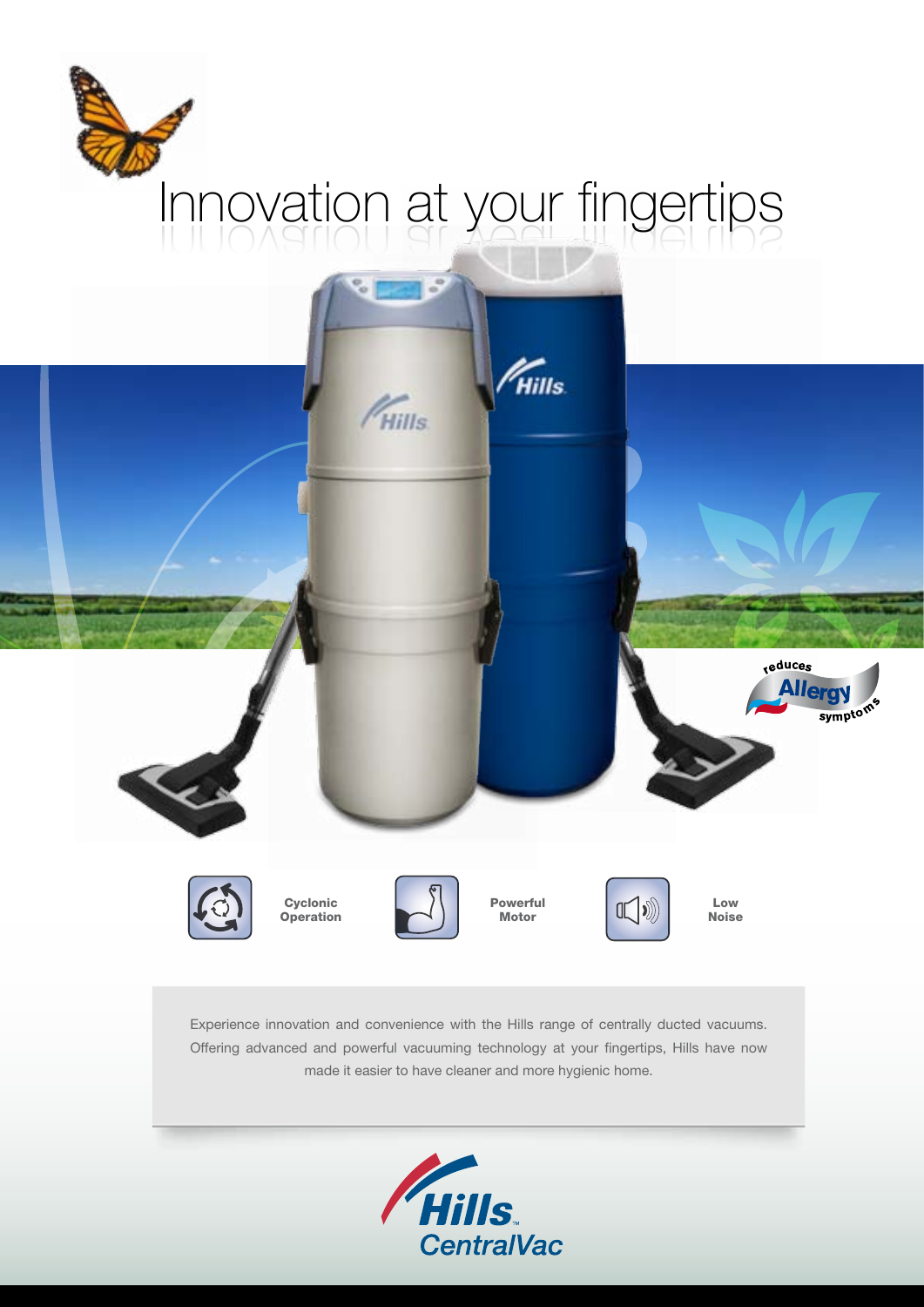# Innovation at your fingertips



Experience innovation and convenience with the Hills range of centrally ducted vacuums. Offering advanced and powerful vacuuming technology at your fingertips, Hills have now made it easier to have cleaner and more hygienic home.

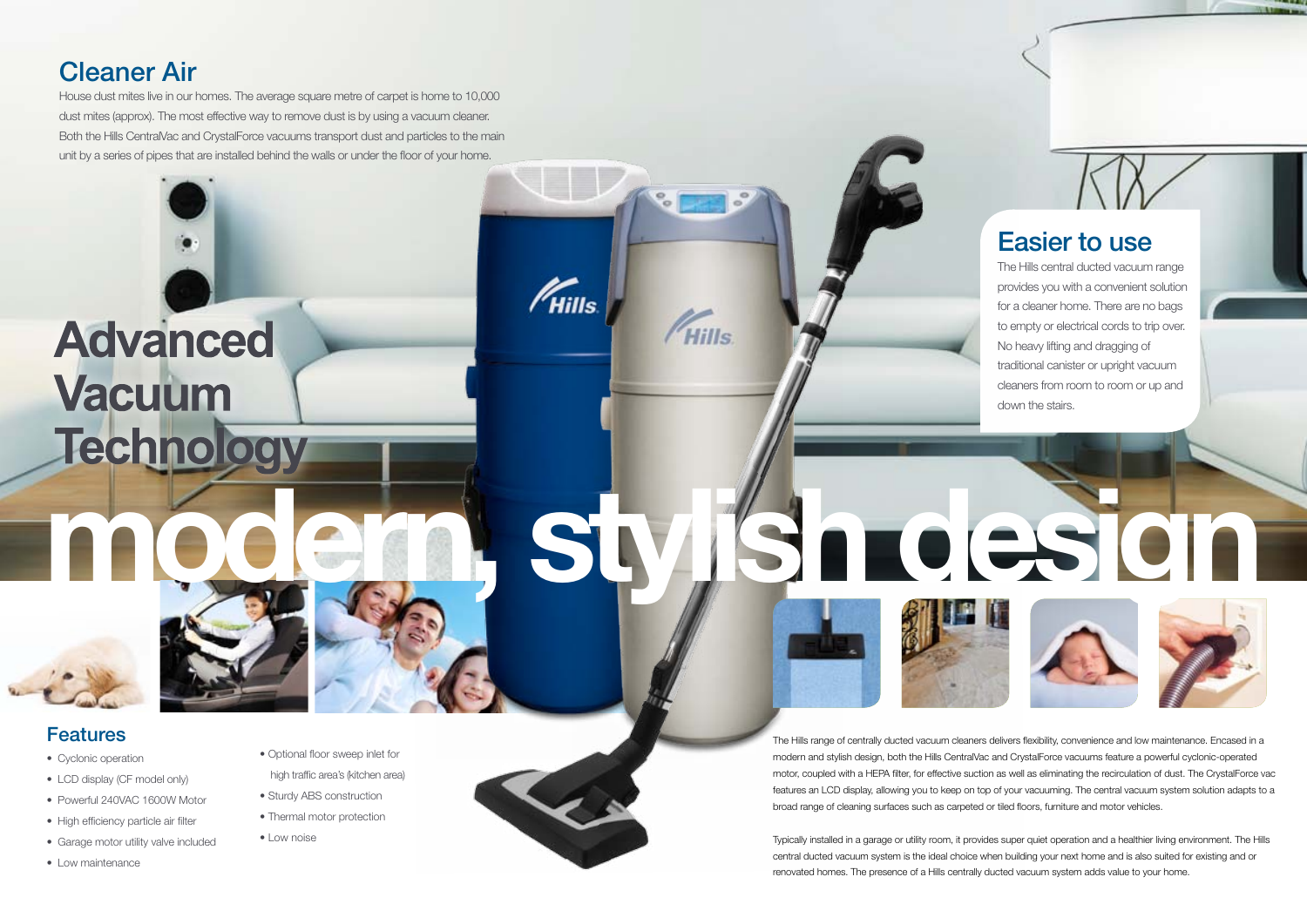## Cleaner Air

House dust mites live in our homes. The average square metre of carpet is home to 10,000 dust mites (approx). The most effective way to remove dust is by using a vacuum cleaner. Both the Hills CentralVac and CrystalForce vacuums transport dust and particles to the main unit by a series of pipes that are installed behind the walls or under the floor of your home.

# **Advanced Vacuum** Technology



- Cyclonic operation
- LCD display (CF model only)
- Powerful 240VAC 1600W Motor
- High efficiency particle air filter
- Garage motor utility valve included
- Low maintenance

### Easier to use

- Optional floor sweep inlet for high traffic area's (kitchen area)
- Sturdy ABS construction
- Thermal motor protection
- Low noise



 $\mathscr{U}_{\mathsf{Hills}}$ 

FHills



The Hills central ducted vacuum range provides you with a convenient solution for a cleaner home. There are no bags to empty or electrical cords to trip over. No heavy lifting and dragging of traditional canister or upright vacuum cleaners from room to room or up and down the stairs.

#### Features

The Hills range of centrally ducted vacuum cleaners delivers flexibility, convenience and low maintenance. Encased in a modern and stylish design, both the Hills CentralVac and CrystalForce vacuums feature a powerful cyclonic-operated motor, coupled with a HEPA filter, for effective suction as well as eliminating the recirculation of dust. The CrystalForce vac features an LCD display, allowing you to keep on top of your vacuuming. The central vacuum system solution adapts to a broad range of cleaning surfaces such as carpeted or tiled floors, furniture and motor vehicles.

Typically installed in a garage or utility room, it provides super quiet operation and a healthier living environment. The Hills central ducted vacuum system is the ideal choice when building your next home and is also suited for existing and or renovated homes. The presence of a Hills centrally ducted vacuum system adds value to your home.

**modern, stylish design**